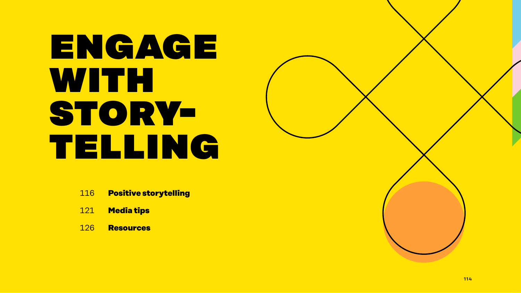# engage with storytelling

- 116 **Positive storytelling**
- 121 **Media tips**
- 126 **Resources**

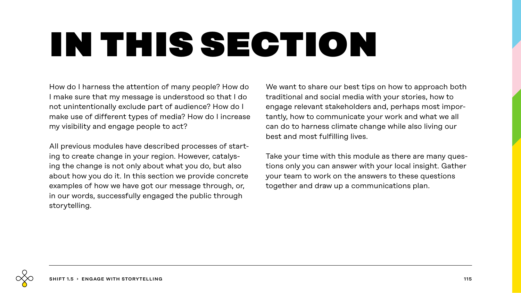# in this section

How do I harness the attention of many people? How do I make sure that my message is understood so that I do not unintentionally exclude part of audience? How do I make use of different types of media? How do I increase my visibility and engage people to act?

All previous modules have described processes of starting to create change in your region. However, catalysing the change is not only about what you do, but also about how you do it. In this section we provide concrete examples of how we have got our message through, or, in our words, successfully engaged the public through storytelling.

We want to share our best tips on how to approach both traditional and social media with your stories, how to engage relevant stakeholders and, perhaps most importantly, how to communicate your work and what we all can do to harness climate change while also living our best and most fulfilling lives.

Take your time with this module as there are many questions only you can answer with your local insight. Gather your team to work on the answers to these questions together and draw up a communications plan.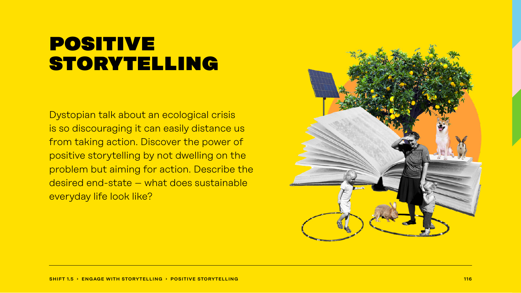### **POSITIVE** storytelling

Dystopian talk about an ecological crisis is so discouraging it can easily distance us from taking action. Discover the power of positive storytelling by not dwelling on the problem but aiming for action. Describe the desired end-state – what does sustainable everyday life look like?

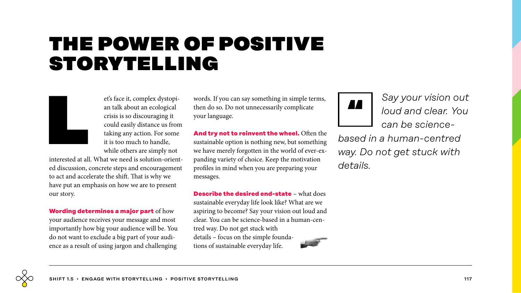### the power of positive storytelling



et's face it, complex dystopi-<br>an talk about an ecological<br>crisis is so discouraging it<br>could easily distance us fron<br>taking any action. For some<br>it is too much to handle,<br>while others are simply not an talk about an ecological crisis is so discouraging it could easily distance us from taking any action. For some it is too much to handle, while others are simply not

interested at all. What we need is solution-oriented discussion, concrete steps and encouragement to act and accelerate the shift. That is why we have put an emphasis on how we are to present our story.

**Wording determines a major part** of how your audience receives your message and most importantly how big your audience will be. You do not want to exclude a big part of your audience as a result of using jargon and challenging

words. If you can say something in simple terms, then do so. Do not unnecessarily complicate your language.

**And try not to reinvent the wheel.** Often the sustainable option is nothing new, but something we have merely forgotten in the world of ever-expanding variety of choice. Keep the motivation profiles in mind when you are preparing your messages.

**Describe the desired end-state** – what does sustainable everyday life look like? What are we aspiring to become? Say your vision out loud and clear. You can be science-based in a human-centred way. Do not get stuck with details – focus on the simple foundations of sustainable everyday life.



*Say your vision out loud and clear. You can be science-*

*based in a human-centred way. Do not get stuck with details.*

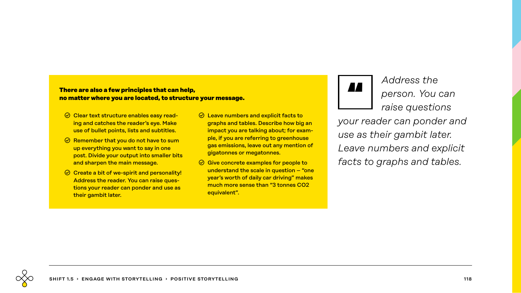### There are also a few principles that can help,<br>no matter where you are located, to structure your message.<br> **In** matter where you are located, to structure your message. **no matter where you are located, to structure your message.**

- $\odot$  Clear text structure enables easy reading and catches the reader's eye. Make use of bullet points, lists and subtitles.
- $\odot$  Remember that you do not have to sum up everything you want to say in one post. Divide your output into smaller bits and sharpen the main message.
- $\odot$  Create a bit of we-spirit and personality! Address the reader. You can raise questions your reader can ponder and use as their gambit later.
- $\odot$  Leave numbers and explicit facts to graphs and tables. Describe how big an impact you are talking about; for example, if you are referring to greenhouse gas emissions, leave out any mention of gigatonnes or megatonnes.
- $\odot$  Give concrete examples for people to understand the scale in question – "one year's worth of daily car driving" makes much more sense than "3 tonnes CO2 equivalent".



*Address the person. You can raise questions* 

*your reader can ponder and use as their gambit later. Leave numbers and explicit facts to graphs and tables.*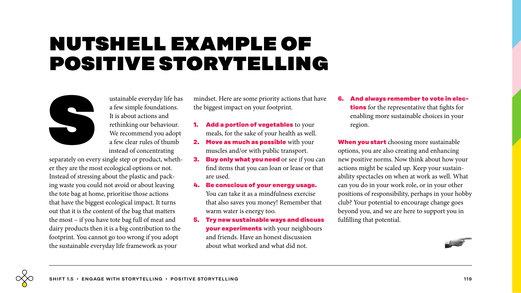### nutshell example of positive storytelling



ustainable everyday life has<br>a few simple foundations.<br>It is about actions and<br>rethinking our behaviour.<br>We recommend you adopt<br>a few clear rules of thumb<br>instead of concentrating a few simple foundations. It is about actions and rethinking our behaviour. We recommend you adopt a few clear rules of thumb instead of concentrating

separately on every single step or product, whether they are the most ecological options or not. Instead of stressing about the plastic and packing waste you could not avoid or about leaving the tote bag at home, prioritise those actions that have the biggest ecological impact. It turns out that it is the content of the bag that matters the most – if you have tote bag full of meat and dairy products then it is a big contribution to the footprint. You cannot go too wrong if you adopt the sustainable everyday life framework as your

mindset. Here are some priority actions that have the biggest impact on your footprint.

- **1. Add a portion of vegetables** to your meals, for the sake of your health as well.
- **2. Move as much as possible** with your muscles and/or with public transport.
- **3. Buy only what you need** or see if you can find items that you can loan or lease or that are used.
- **4. Be conscious of your energy usage.** You can take it as a mindfulness exercise that also saves you money! Remember that warm water is energy too.
- **5. Try new sustainable ways and discuss your experiments** with your neighbours and friends. Have an honest discussion about what worked and what did not.

**6. And always remember to vote in elections** for the representative that fights for enabling more sustainable choices in your region.

**When you start** choosing more sustainable options, you are also creating and enhancing new positive norms. Now think about how your actions might be scaled up. Keep your sustainability spectacles on when at work as well. What can you do in your work role, or in your other positions of responsibility, perhaps in your hobby club? Your potential to encourage change goes beyond you, and we are here to support you in fulfilling that potential.

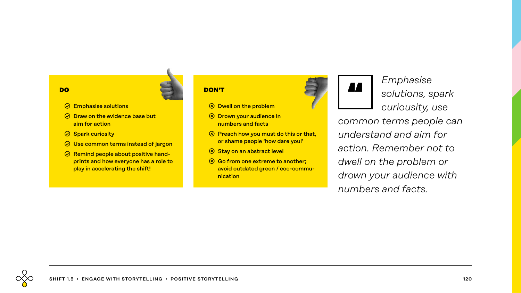#### **DO**

- $\odot$  Emphasise solutions
- $\odot$  Draw on the evidence base but aim for action
- $\odot$  Spark curiosity
- $\odot$  Use common terms instead of jargon
- $\odot$  Remind people about positive handprints and how everyone has a role to play in accelerating the shift!

#### **DON'T**

- **(8) Dwell on the problem**
- **(8) Drown your audience in** numbers and facts
- $\circledR$  Preach how you must do this or that, or shame people 'how dare you!'
- **(8) Stay on an abstract level**
- $\circledR$  Go from one extreme to another; avoid outdated green / eco-communication



*Emphasise solutions, spark curiousity, use common terms people can understand and aim for action. Remember not to dwell on the problem or drown your audience with numbers and facts.*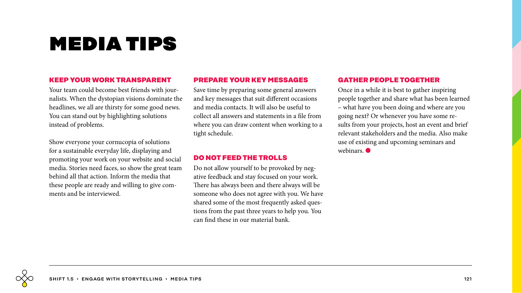## media tips

#### **KEEP YOUR WORK TRANSPARENT**

Your team could become best friends with journalists. When the dystopian visions dominate the headlines, we all are thirsty for some good news. You can stand out by highlighting solutions instead of problems.

Show everyone your cornucopia of solutions for a sustainable everyday life, displaying and promoting your work on your website and social media. Stories need faces, so show the great team behind all that action. Inform the media that these people are ready and willing to give comments and be interviewed.

#### **PREPARE YOUR KEY MESSAGES**

Save time by preparing some general answers and key messages that suit different occasions and media contacts. It will also be useful to collect all answers and statements in a file from where you can draw content when working to a tight schedule.

#### **DO NOT FEED THE TROLLS**

Do not allow yourself to be provoked by negative feedback and stay focused on your work. There has always been and there always will be someone who does not agree with you. We have shared some of the most frequently asked questions from the past three years to help you. You can find these in our material bank.

#### **GATHER PEOPLE TOGETHER**

Once in a while it is best to gather inspiring people together and share what has been learned – what have you been doing and where are you going next? Or whenever you have some results from your projects, host an event and brief relevant stakeholders and the media. Also make use of existing and upcoming seminars and webinars.  $\bullet$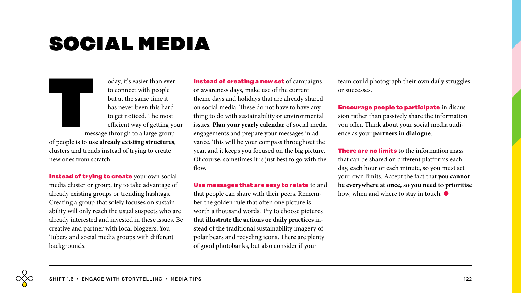### social media

to connect with people

oday, it's easier than ever<br>to connect with people<br>but at the same time it<br>has never been this hard<br>to get noticed. The most<br>efficient way of getting yo<br>message through to a large group but at the same time it has never been this hard to get noticed. The most efficient way of getting your message through to a large group of people is to **use already existing structures**, clusters and trends instead of trying to create new ones from scratch.

**Instead of trying to create** your own social media cluster or group, try to take advantage of already existing groups or trending hashtags. Creating a group that solely focuses on sustainability will only reach the usual suspects who are already interested and invested in these issues. Be creative and partner with local bloggers, You-Tubers and social media groups with different backgrounds.

**Instead of creating a new set** of campaigns or awareness days, make use of the current theme days and holidays that are already shared on social media. These do not have to have anything to do with sustainability or environmental issues. **Plan your yearly calendar** of social media engagements and prepare your messages in advance. This will be your compass throughout the year, and it keeps you focused on the big picture. Of course, sometimes it is just best to go with the flow.

**Use messages that are easy to relate** to and that people can share with their peers. Remember the golden rule that often one picture is worth a thousand words. Try to choose pictures that **illustrate the actions or daily practices** instead of the traditional sustainability imagery of polar bears and recycling icons. There are plenty of good photobanks, but also consider if your

team could photograph their own daily struggles or successes.

**Encourage people to participate** in discussion rather than passively share the information you offer. Think about your social media audience as your **partners in dialogue**.

**There are no limits** to the information mass that can be shared on different platforms each day, each hour or each minute, so you must set your own limits. Accept the fact that **you cannot be everywhere at once, so you need to prioritise** how, when and where to stay in touch.  $\bullet$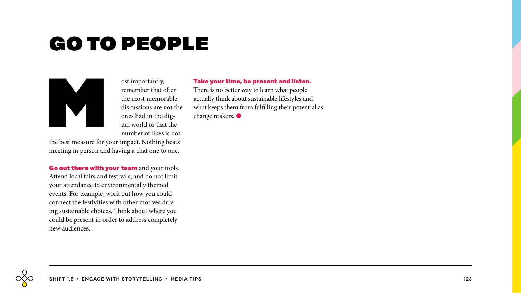## go to people

ost importantly,<br>remember that c<br>the most memor<br>discussions are r<br>ones had in the c<br>ital world or that<br>number of likes

remember that often the most memorable discussions are not the ones had in the digital world or that the number of likes is not

the best measure for your impact. Nothing beats meeting in person and having a chat one to one.

**Go out there with your team** and your tools. Attend local fairs and festivals, and do not limit your attendance to environmentally themed events. For example, work out how you could connect the festivities with other motives driving sustainable choices. Think about where you could be present in order to address completely new audiences.

**Take your time, be present and listen.**

There is no better way to learn what people actually think about sustainable lifestyles and what keeps them from fulfilling their potential as change makers.  $\bullet$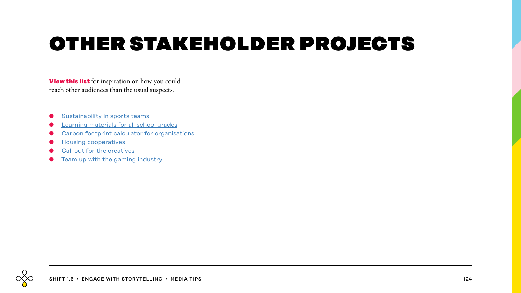# other stakeholder projects

**View this list** for inspiration on how you could reach other audiences than the usual suspects.

- [Sustainability in sports teams](https://www.sitra.fi/en/projects/circular-economy-sport/)
- **●** [Learning materials for all school grades](https://www.sitra.fi/en/articles/circular-economy-teaching-materials-for-primary-school-upper-secondary-school-and-vocational-school/)
- [Carbon footprint calculator for organisations](https://www.sitra.fi/en/news/the-worlds-first-carbon-footprint-calculator-tailored-for-organisations-facilitates-climate-action/)
- **●** [Housing cooperatives](https://www.sitra.fi/en/articles/the-winds-of-change-in-living-people-are-interested-in-a-more-climate-positive-everyday-life-and-the-self-production-of-energy/)
- [Call out for the creatives](https://www.ilmastokanava.com/climate-channel.html)
- **●** [Team up with the gaming industry](https://www.sitra.fi/en/blogs/can-the-world-be-saved-by-playing-games/)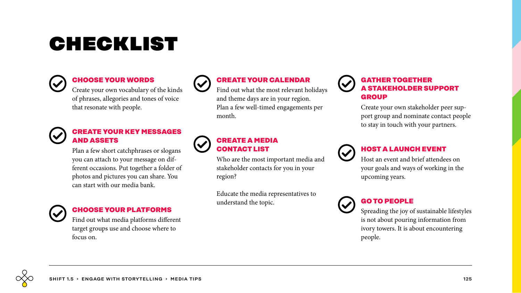## checklist



### **CHOOSE YOUR WORDS**

Create your own vocabulary of the kinds of phrases, allegories and tones of voice that resonate with people.



#### **CREATE YOUR KEY MESSAGES AND ASSETS**

Plan a few short catchphrases or slogans you can attach to your message on different occasions. Put together a folder of photos and pictures you can share. You can start with our media bank.



### **CHOOSE YOUR PLATFORMS**

Find out what media platforms different target groups use and choose where to focus on.



### **CREATE YOUR CALENDAR**

Find out what the most relevant holidays and theme days are in your region. Plan a few well-timed engagements per month.

### **CREATE A MEDIA CONTACT LIST**

Who are the most important media and stakeholder contacts for you in your region?

Educate the media representatives to understand the topic.

### **GATHER TOGETHER A STAKEHOLDER SUPPORT GROUP**

Create your own stakeholder peer support group and nominate contact people to stay in touch with your partners.



### **HOST A LAUNCH EVENT**

Host an event and brief attendees on your goals and ways of working in the upcoming years.



### **GO TO PEOPLE**

Spreading the joy of sustainable lifestyles is not about pouring information from ivory towers. It is about encountering people.